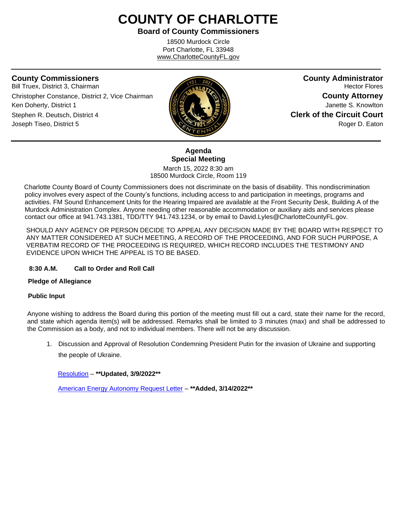# **COUNTY OF CHARLOTTE**

**Board of County Commissioners**

18500 Murdock Circle Port Charlotte, FL 33948 www.CharlotteCountyFL.gov

ֺֺ

Bill Truex, District 3, Chairman **Hector Flores Hector Flores Hector Flores Christopher Constance, District 2, Vice Chairman <b>County Attorney County Attorney** Ken Doherty, District 1 **Janette S. Knowlton Janette S. Knowlton** Stephen R. Deutsch, District 4 **Clerk of the Circuit Court** Joseph Tiseo, District 5 **Roger D. Eaton** Roger D. Eaton



**County Commissioners County Administrator**

# **Agenda Special Meeting**

March 15, 2022 8:30 am 18500 Murdock Circle, Room 119

 Charlotte County Board of County Commissioners does not discriminate on the basis of disability. This nondiscrimination policy involves every aspect of the County's functions, including access to and participation in meetings, programs and activities. FM Sound Enhancement Units for the Hearing Impaired are available at the Front Security Desk, Building A of the Murdock Administration Complex. Anyone needing other reasonable accommodation or auxiliary aids and services please contact our office at 941.743.1381, TDD/TTY 941.743.1234, or by email to David.Lyles@CharlotteCountyFL.gov.

SHOULD ANY AGENCY OR PERSON DECIDE TO APPEAL ANY DECISION MADE BY THE BOARD WITH RESPECT TO ANY MATTER CONSIDERED AT SUCH MEETING, A RECORD OF THE PROCEEDING, AND FOR SUCH PURPOSE, A VERBATIM RECORD OF THE PROCEEDING IS REQUIRED, WHICH RECORD INCLUDES THE TESTIMONY AND EVIDENCE UPON WHICH THE APPEAL IS TO BE BASED.

### **8:30 A.M. Call to Order and Roll Call**

#### **Pledge of Allegiance**

#### **Public Input**

Anyone wishing to address the Board during this portion of the meeting must fill out a card, state their name for the record, and state which agenda item(s) will be addressed. Remarks shall be limited to 3 minutes (max) and shall be addressed to the Commission as a body, and not to individual members. There will not be any discussion.

1. Discussion and Approval of Resolution Condemning President Putin for the invasion of Ukraine and supporting the people of Ukraine.

[Resolution](https://data.charlottecountyfl.gov/agenda/20220315SM/1.pdf) – **\*\*Updated, 3/9/2022\*\***

[American Energy Autonomy Request Letter](https://data.charlottecountyfl.gov/agenda/20220315SM/2.pdf) – **\*\*Added, 3/14/2022\*\***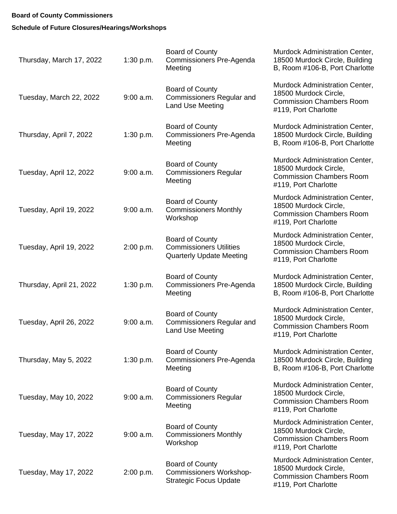## **Board of County Commissioners**

# **Schedule of Future Closures/Hearings/Workshops**

| Thursday, March 17, 2022 | 1:30 p.m.   | <b>Board of County</b><br><b>Commissioners Pre-Agenda</b><br>Meeting                        | Murdock Administration Center,<br>18500 Murdock Circle, Building<br>B, Room #106-B, Port Charlotte                 |
|--------------------------|-------------|---------------------------------------------------------------------------------------------|--------------------------------------------------------------------------------------------------------------------|
| Tuesday, March 22, 2022  | $9:00$ a.m. | <b>Board of County</b><br><b>Commissioners Regular and</b><br><b>Land Use Meeting</b>       | Murdock Administration Center,<br>18500 Murdock Circle,<br><b>Commission Chambers Room</b><br>#119, Port Charlotte |
| Thursday, April 7, 2022  | 1:30 p.m.   | <b>Board of County</b><br>Commissioners Pre-Agenda<br>Meeting                               | Murdock Administration Center,<br>18500 Murdock Circle, Building<br>B, Room #106-B, Port Charlotte                 |
| Tuesday, April 12, 2022  | $9:00$ a.m. | <b>Board of County</b><br><b>Commissioners Regular</b><br>Meeting                           | Murdock Administration Center,<br>18500 Murdock Circle,<br><b>Commission Chambers Room</b><br>#119, Port Charlotte |
| Tuesday, April 19, 2022  | $9:00$ a.m. | Board of County<br><b>Commissioners Monthly</b><br>Workshop                                 | Murdock Administration Center,<br>18500 Murdock Circle,<br><b>Commission Chambers Room</b><br>#119, Port Charlotte |
| Tuesday, April 19, 2022  | 2:00 p.m.   | <b>Board of County</b><br><b>Commissioners Utilities</b><br><b>Quarterly Update Meeting</b> | Murdock Administration Center,<br>18500 Murdock Circle,<br><b>Commission Chambers Room</b><br>#119, Port Charlotte |
| Thursday, April 21, 2022 | 1:30 p.m.   | <b>Board of County</b><br>Commissioners Pre-Agenda<br>Meeting                               | Murdock Administration Center,<br>18500 Murdock Circle, Building<br>B, Room #106-B, Port Charlotte                 |
| Tuesday, April 26, 2022  | $9:00$ a.m. | <b>Board of County</b><br><b>Commissioners Regular and</b><br>Land Use Meeting              | Murdock Administration Center,<br>18500 Murdock Circle,<br><b>Commission Chambers Room</b><br>#119, Port Charlotte |
| Thursday, May 5, 2022    | 1:30 p.m.   | <b>Board of County</b><br>Commissioners Pre-Agenda<br>Meeting                               | Murdock Administration Center,<br>18500 Murdock Circle, Building<br>B, Room #106-B, Port Charlotte                 |
| Tuesday, May 10, 2022    | $9:00$ a.m. | <b>Board of County</b><br><b>Commissioners Regular</b><br>Meeting                           | Murdock Administration Center,<br>18500 Murdock Circle,<br><b>Commission Chambers Room</b><br>#119, Port Charlotte |
| Tuesday, May 17, 2022    | $9:00$ a.m. | <b>Board of County</b><br><b>Commissioners Monthly</b><br>Workshop                          | Murdock Administration Center,<br>18500 Murdock Circle,<br><b>Commission Chambers Room</b><br>#119, Port Charlotte |
| Tuesday, May 17, 2022    | 2:00 p.m.   | <b>Board of County</b><br><b>Commissioners Workshop-</b><br><b>Strategic Focus Update</b>   | Murdock Administration Center,<br>18500 Murdock Circle,<br><b>Commission Chambers Room</b><br>#119, Port Charlotte |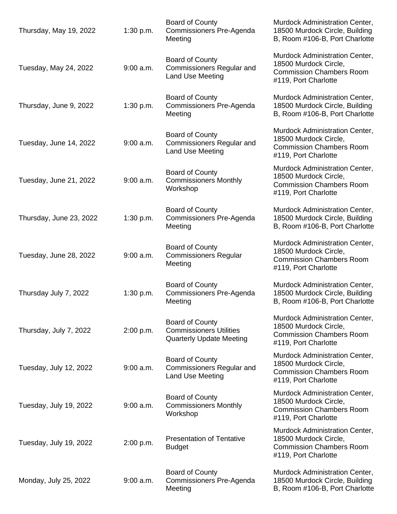| Thursday, May 19, 2022  | 1:30 p.m.   | Board of County<br><b>Commissioners Pre-Agenda</b><br>Meeting                               | Murdock Administration Center,<br>18500 Murdock Circle, Building<br>B, Room #106-B, Port Charlotte                 |
|-------------------------|-------------|---------------------------------------------------------------------------------------------|--------------------------------------------------------------------------------------------------------------------|
| Tuesday, May 24, 2022   | $9:00$ a.m. | <b>Board of County</b><br><b>Commissioners Regular and</b><br>Land Use Meeting              | Murdock Administration Center,<br>18500 Murdock Circle,<br><b>Commission Chambers Room</b><br>#119, Port Charlotte |
| Thursday, June 9, 2022  | 1:30 p.m.   | <b>Board of County</b><br>Commissioners Pre-Agenda<br>Meeting                               | Murdock Administration Center,<br>18500 Murdock Circle, Building<br>B, Room #106-B, Port Charlotte                 |
| Tuesday, June 14, 2022  | $9:00$ a.m. | <b>Board of County</b><br><b>Commissioners Regular and</b><br><b>Land Use Meeting</b>       | Murdock Administration Center,<br>18500 Murdock Circle,<br><b>Commission Chambers Room</b><br>#119, Port Charlotte |
| Tuesday, June 21, 2022  | $9:00$ a.m. | <b>Board of County</b><br><b>Commissioners Monthly</b><br>Workshop                          | Murdock Administration Center,<br>18500 Murdock Circle,<br><b>Commission Chambers Room</b><br>#119, Port Charlotte |
| Thursday, June 23, 2022 | 1:30 p.m.   | <b>Board of County</b><br>Commissioners Pre-Agenda<br>Meeting                               | Murdock Administration Center,<br>18500 Murdock Circle, Building<br>B, Room #106-B, Port Charlotte                 |
| Tuesday, June 28, 2022  | $9:00$ a.m. | Board of County<br><b>Commissioners Regular</b><br>Meeting                                  | Murdock Administration Center,<br>18500 Murdock Circle,<br><b>Commission Chambers Room</b><br>#119, Port Charlotte |
| Thursday July 7, 2022   | 1:30 p.m.   | <b>Board of County</b><br>Commissioners Pre-Agenda<br>Meeting                               | Murdock Administration Center,<br>18500 Murdock Circle, Building<br>B, Room #106-B, Port Charlotte                 |
| Thursday, July 7, 2022  | 2:00 p.m.   | <b>Board of County</b><br><b>Commissioners Utilities</b><br><b>Quarterly Update Meeting</b> | Murdock Administration Center,<br>18500 Murdock Circle,<br><b>Commission Chambers Room</b><br>#119, Port Charlotte |
| Tuesday, July 12, 2022  | $9:00$ a.m. | <b>Board of County</b><br><b>Commissioners Regular and</b><br>Land Use Meeting              | Murdock Administration Center,<br>18500 Murdock Circle,<br><b>Commission Chambers Room</b><br>#119, Port Charlotte |
| Tuesday, July 19, 2022  | $9:00$ a.m. | <b>Board of County</b><br><b>Commissioners Monthly</b><br>Workshop                          | Murdock Administration Center,<br>18500 Murdock Circle,<br><b>Commission Chambers Room</b><br>#119, Port Charlotte |
| Tuesday, July 19, 2022  | 2:00 p.m.   | <b>Presentation of Tentative</b><br><b>Budget</b>                                           | Murdock Administration Center,<br>18500 Murdock Circle,<br><b>Commission Chambers Room</b><br>#119, Port Charlotte |
| Monday, July 25, 2022   | $9:00$ a.m. | <b>Board of County</b><br>Commissioners Pre-Agenda<br>Meeting                               | Murdock Administration Center,<br>18500 Murdock Circle, Building<br>B, Room #106-B, Port Charlotte                 |